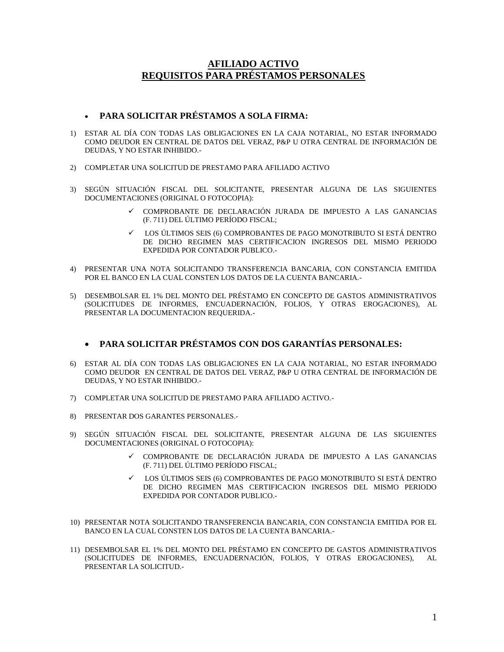## **AFILIADO ACTIVO REQUISITOS PARA PRÉSTAMOS PERSONALES**

# **PARA SOLICITAR PRÉSTAMOS A SOLA FIRMA:**

- 1) ESTAR AL DÍA CON TODAS LAS OBLIGACIONES EN LA CAJA NOTARIAL, NO ESTAR INFORMADO COMO DEUDOR EN CENTRAL DE DATOS DEL VERAZ, P&P U OTRA CENTRAL DE INFORMACIÓN DE DEUDAS, Y NO ESTAR INHIBIDO.-
- 2) COMPLETAR UNA SOLICITUD DE PRESTAMO PARA AFILIADO ACTIVO
- 3) SEGÚN SITUACIÓN FISCAL DEL SOLICITANTE, PRESENTAR ALGUNA DE LAS SIGUIENTES DOCUMENTACIONES (ORIGINAL O FOTOCOPIA):
	- COMPROBANTE DE DECLARACIÓN JURADA DE IMPUESTO A LAS GANANCIAS (F. 711) DEL ÚLTIMO PERÍODO FISCAL;
	- LOS ÚLTIMOS SEIS (6) COMPROBANTES DE PAGO MONOTRIBUTO SI ESTÁ DENTRO DE DICHO REGIMEN MAS CERTIFICACION INGRESOS DEL MISMO PERIODO EXPEDIDA POR CONTADOR PUBLICO.-
- 4) PRESENTAR UNA NOTA SOLICITANDO TRANSFERENCIA BANCARIA, CON CONSTANCIA EMITIDA POR EL BANCO EN LA CUAL CONSTEN LOS DATOS DE LA CUENTA BANCARIA.-
- 5) DESEMBOLSAR EL 1% DEL MONTO DEL PRÉSTAMO EN CONCEPTO DE GASTOS ADMINISTRATIVOS (SOLICITUDES DE INFORMES, ENCUADERNACIÓN, FOLIOS, Y OTRAS EROGACIONES), AL PRESENTAR LA DOCUMENTACION REQUERIDA.-

## **PARA SOLICITAR PRÉSTAMOS CON DOS GARANTÍAS PERSONALES:**

- 6) ESTAR AL DÍA CON TODAS LAS OBLIGACIONES EN LA CAJA NOTARIAL, NO ESTAR INFORMADO COMO DEUDOR EN CENTRAL DE DATOS DEL VERAZ, P&P U OTRA CENTRAL DE INFORMACIÓN DE DEUDAS, Y NO ESTAR INHIBIDO.-
- 7) COMPLETAR UNA SOLICITUD DE PRESTAMO PARA AFILIADO ACTIVO.-
- 8) PRESENTAR DOS GARANTES PERSONALES.-
- 9) SEGÚN SITUACIÓN FISCAL DEL SOLICITANTE, PRESENTAR ALGUNA DE LAS SIGUIENTES DOCUMENTACIONES (ORIGINAL O FOTOCOPIA):
	- COMPROBANTE DE DECLARACIÓN JURADA DE IMPUESTO A LAS GANANCIAS (F. 711) DEL ÚLTIMO PERÍODO FISCAL;
	- LOS ÚLTIMOS SEIS (6) COMPROBANTES DE PAGO MONOTRIBUTO SI ESTÁ DENTRO DE DICHO REGIMEN MAS CERTIFICACION INGRESOS DEL MISMO PERIODO EXPEDIDA POR CONTADOR PUBLICO.-
- 10) PRESENTAR NOTA SOLICITANDO TRANSFERENCIA BANCARIA, CON CONSTANCIA EMITIDA POR EL BANCO EN LA CUAL CONSTEN LOS DATOS DE LA CUENTA BANCARIA.-
- 11) DESEMBOLSAR EL 1% DEL MONTO DEL PRÉSTAMO EN CONCEPTO DE GASTOS ADMINISTRATIVOS (SOLICITUDES DE INFORMES, ENCUADERNACIÓN, FOLIOS, Y OTRAS EROGACIONES), AL PRESENTAR LA SOLICITUD.-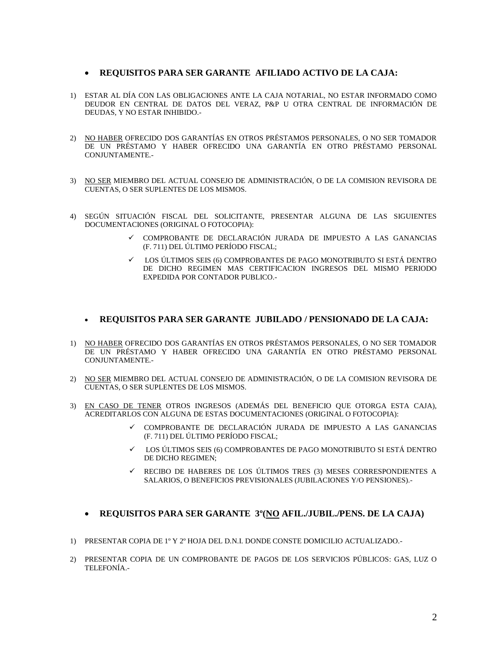#### **REQUISITOS PARA SER GARANTE AFILIADO ACTIVO DE LA CAJA:**

- 1) ESTAR AL DÍA CON LAS OBLIGACIONES ANTE LA CAJA NOTARIAL, NO ESTAR INFORMADO COMO DEUDOR EN CENTRAL DE DATOS DEL VERAZ, P&P U OTRA CENTRAL DE INFORMACIÓN DE DEUDAS, Y NO ESTAR INHIBIDO.-
- 2) NO HABER OFRECIDO DOS GARANTÍAS EN OTROS PRÉSTAMOS PERSONALES, O NO SER TOMADOR DE UN PRÉSTAMO Y HABER OFRECIDO UNA GARANTÍA EN OTRO PRÉSTAMO PERSONAL CONJUNTAMENTE.-
- 3) NO SER MIEMBRO DEL ACTUAL CONSEJO DE ADMINISTRACIÓN, O DE LA COMISION REVISORA DE CUENTAS, O SER SUPLENTES DE LOS MISMOS.
- 4) SEGÚN SITUACIÓN FISCAL DEL SOLICITANTE, PRESENTAR ALGUNA DE LAS SIGUIENTES DOCUMENTACIONES (ORIGINAL O FOTOCOPIA):
	- COMPROBANTE DE DECLARACIÓN JURADA DE IMPUESTO A LAS GANANCIAS (F. 711) DEL ÚLTIMO PERÍODO FISCAL;
	- LOS ÚLTIMOS SEIS (6) COMPROBANTES DE PAGO MONOTRIBUTO SI ESTÁ DENTRO DE DICHO REGIMEN MAS CERTIFICACION INGRESOS DEL MISMO PERIODO EXPEDIDA POR CONTADOR PUBLICO.-

#### **REQUISITOS PARA SER GARANTE JUBILADO / PENSIONADO DE LA CAJA:**

- 1) NO HABER OFRECIDO DOS GARANTÍAS EN OTROS PRÉSTAMOS PERSONALES, O NO SER TOMADOR DE UN PRÉSTAMO Y HABER OFRECIDO UNA GARANTÍA EN OTRO PRÉSTAMO PERSONAL CONJUNTAMENTE.-
- 2) NO SER MIEMBRO DEL ACTUAL CONSEJO DE ADMINISTRACIÓN, O DE LA COMISION REVISORA DE CUENTAS, O SER SUPLENTES DE LOS MISMOS.
- 3) EN CASO DE TENER OTROS INGRESOS (ADEMÁS DEL BENEFICIO QUE OTORGA ESTA CAJA), ACREDITARLOS CON ALGUNA DE ESTAS DOCUMENTACIONES (ORIGINAL O FOTOCOPIA):
	- $\checkmark$  COMPROBANTE DE DECLARACIÓN JURADA DE IMPUESTO A LAS GANANCIAS (F. 711) DEL ÚLTIMO PERÍODO FISCAL;
	- LOS ÚLTIMOS SEIS (6) COMPROBANTES DE PAGO MONOTRIBUTO SI ESTÁ DENTRO DE DICHO REGIMEN;
	- $\checkmark$  RECIBO DE HABERES DE LOS ÚLTIMOS TRES (3) MESES CORRESPONDIENTES A SALARIOS, O BENEFICIOS PREVISIONALES (JUBILACIONES Y/O PENSIONES).-

### **REQUISITOS PARA SER GARANTE 3º(NO AFIL./JUBIL./PENS. DE LA CAJA)**

- 1) PRESENTAR COPIA DE 1º Y 2º HOJA DEL D.N.I. DONDE CONSTE DOMICILIO ACTUALIZADO.-
- 2) PRESENTAR COPIA DE UN COMPROBANTE DE PAGOS DE LOS SERVICIOS PÚBLICOS: GAS, LUZ O TELEFONÍA.-